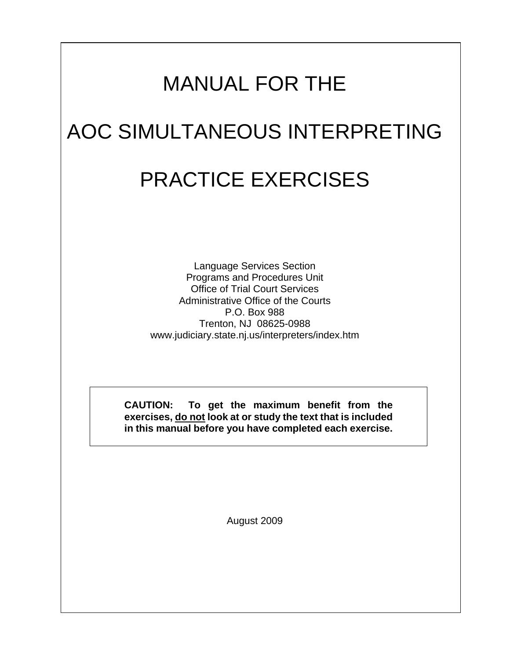# MANUAL FOR THE AOC SIMULTANEOUS INTERPRETING PRACTICE EXERCISES

Language Services Section Programs and Procedures Unit Office of Trial Court Services Administrative Office of the Courts P.O. Box 988 Trenton, NJ 08625-0988 www.judiciary.state.nj.us/interpreters/index.htm

**CAUTION: To get the maximum benefit from the exercises, do not look at or study the text that is included in this manual before you have completed each exercise.** 

August 2009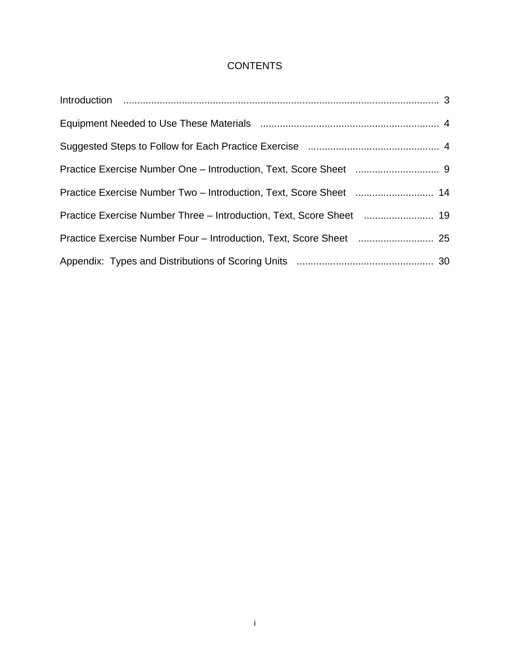# **CONTENTS**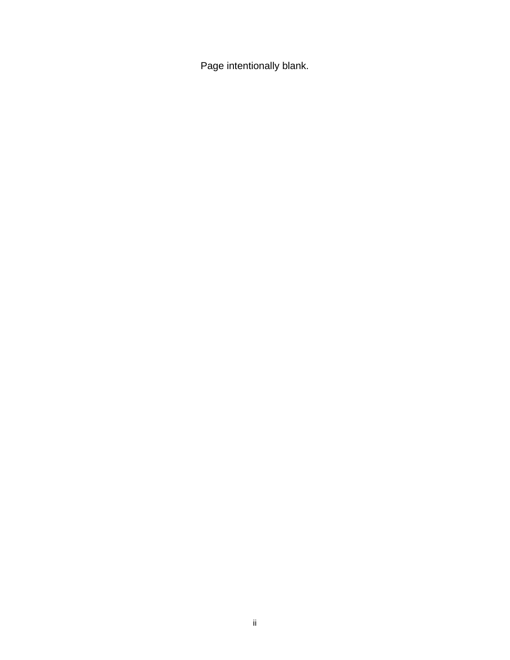Page intentionally blank.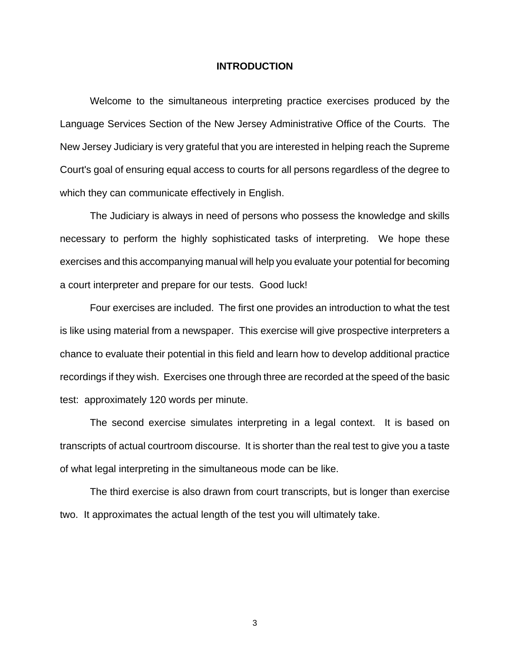#### **INTRODUCTION**

Welcome to the simultaneous interpreting practice exercises produced by the Language Services Section of the New Jersey Administrative Office of the Courts. The New Jersey Judiciary is very grateful that you are interested in helping reach the Supreme Court's goal of ensuring equal access to courts for all persons regardless of the degree to which they can communicate effectively in English.

The Judiciary is always in need of persons who possess the knowledge and skills necessary to perform the highly sophisticated tasks of interpreting. We hope these exercises and this accompanying manual will help you evaluate your potential for becoming a court interpreter and prepare for our tests. Good luck!

Four exercises are included. The first one provides an introduction to what the test is like using material from a newspaper. This exercise will give prospective interpreters a chance to evaluate their potential in this field and learn how to develop additional practice recordings if they wish. Exercises one through three are recorded at the speed of the basic test: approximately 120 words per minute.

The second exercise simulates interpreting in a legal context. It is based on transcripts of actual courtroom discourse. It is shorter than the real test to give you a taste of what legal interpreting in the simultaneous mode can be like.

The third exercise is also drawn from court transcripts, but is longer than exercise two. It approximates the actual length of the test you will ultimately take.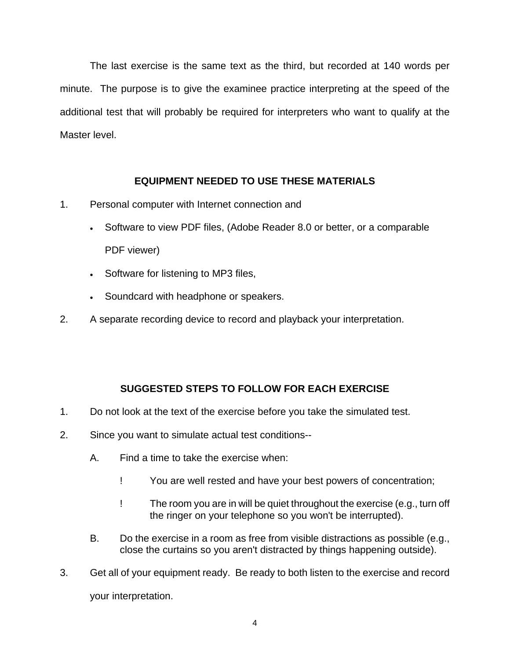The last exercise is the same text as the third, but recorded at 140 words per minute. The purpose is to give the examinee practice interpreting at the speed of the additional test that will probably be required for interpreters who want to qualify at the Master level.

## **EQUIPMENT NEEDED TO USE THESE MATERIALS**

- 1. Personal computer with Internet connection and
	- Software to view PDF files, (Adobe Reader 8.0 or better, or a comparable PDF viewer)
	- Software for listening to MP3 files,
	- Soundcard with headphone or speakers.
- 2. A separate recording device to record and playback your interpretation.

# **SUGGESTED STEPS TO FOLLOW FOR EACH EXERCISE**

- 1. Do not look at the text of the exercise before you take the simulated test.
- 2. Since you want to simulate actual test conditions--
	- A. Find a time to take the exercise when:
		- ! You are well rested and have your best powers of concentration;
		- ! The room you are in will be quiet throughout the exercise (e.g., turn off the ringer on your telephone so you won't be interrupted).
	- B. Do the exercise in a room as free from visible distractions as possible (e.g., close the curtains so you aren't distracted by things happening outside).
- 3. Get all of your equipment ready. Be ready to both listen to the exercise and record your interpretation.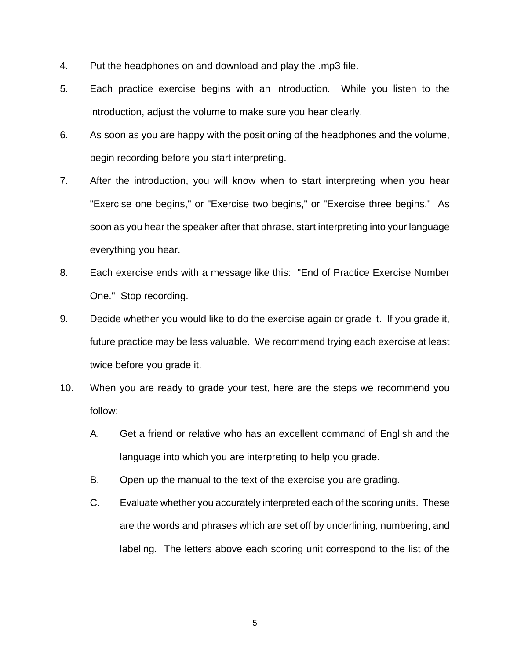- 4. Put the headphones on and download and play the .mp3 file.
- 5. Each practice exercise begins with an introduction. While you listen to the introduction, adjust the volume to make sure you hear clearly.
- 6. As soon as you are happy with the positioning of the headphones and the volume, begin recording before you start interpreting.
- 7. After the introduction, you will know when to start interpreting when you hear "Exercise one begins," or "Exercise two begins," or "Exercise three begins." As soon as you hear the speaker after that phrase, start interpreting into your language everything you hear.
- 8. Each exercise ends with a message like this: "End of Practice Exercise Number One." Stop recording.
- 9. Decide whether you would like to do the exercise again or grade it. If you grade it, future practice may be less valuable. We recommend trying each exercise at least twice before you grade it.
- 10. When you are ready to grade your test, here are the steps we recommend you follow:
	- A. Get a friend or relative who has an excellent command of English and the language into which you are interpreting to help you grade.
	- B. Open up the manual to the text of the exercise you are grading.
	- C. Evaluate whether you accurately interpreted each of the scoring units. These are the words and phrases which are set off by underlining, numbering, and labeling. The letters above each scoring unit correspond to the list of the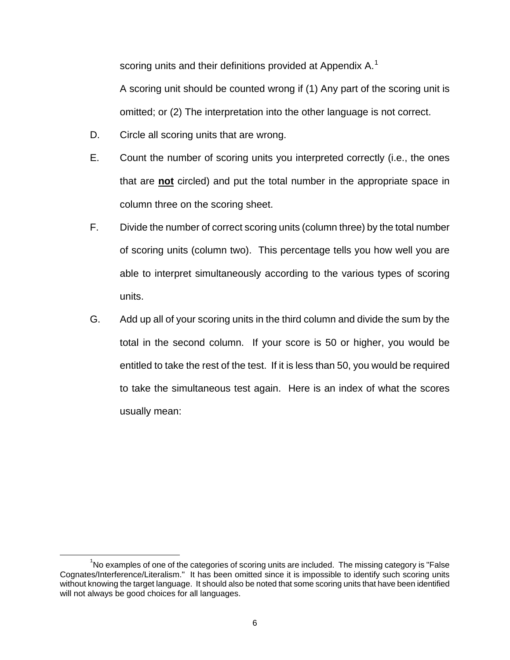scoring units and their definitions provided at Appendix  $A<sup>1</sup>$  $A<sup>1</sup>$  $A<sup>1</sup>$ 

A scoring unit should be counted wrong if (1) Any part of the scoring unit is omitted; or (2) The interpretation into the other language is not correct.

- D. Circle all scoring units that are wrong.
- E. Count the number of scoring units you interpreted correctly (i.e., the ones that are **not** circled) and put the total number in the appropriate space in column three on the scoring sheet.
- F. Divide the number of correct scoring units (column three) by the total number of scoring units (column two). This percentage tells you how well you are able to interpret simultaneously according to the various types of scoring units.
- G. Add up all of your scoring units in the third column and divide the sum by the total in the second column. If your score is 50 or higher, you would be entitled to take the rest of the test. If it is less than 50, you would be required to take the simultaneous test again. Here is an index of what the scores usually mean:

<span id="page-6-0"></span> $\overline{a}$  $\frac{1}{2}$  $1$ No examples of one of the categories of scoring units are included. The missing category is "False" Cognates/Interference/Literalism." It has been omitted since it is impossible to identify such scoring units without knowing the target language. It should also be noted that some scoring units that have been identified will not always be good choices for all languages.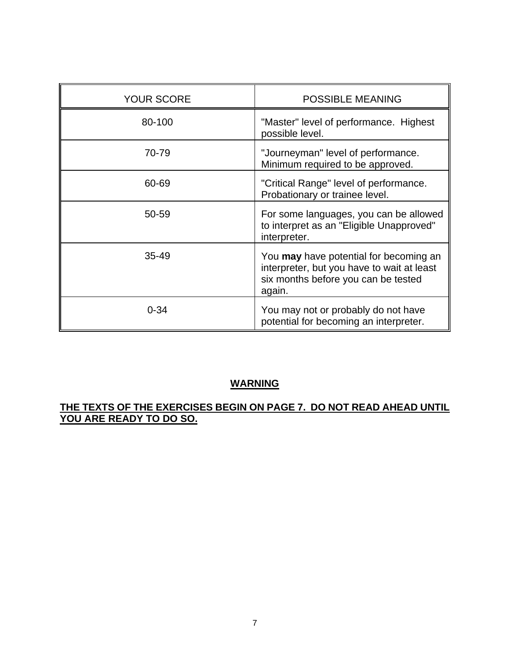| <b>YOUR SCORE</b> | <b>POSSIBLE MEANING</b>                                                                                                                      |  |  |
|-------------------|----------------------------------------------------------------------------------------------------------------------------------------------|--|--|
| 80-100            | "Master" level of performance. Highest<br>possible level.                                                                                    |  |  |
| 70-79             | "Journeyman" level of performance.<br>Minimum required to be approved.                                                                       |  |  |
| 60-69             | "Critical Range" level of performance.<br>Probationary or trainee level.                                                                     |  |  |
| 50-59             | For some languages, you can be allowed<br>to interpret as an "Eligible Unapproved"<br>interpreter.                                           |  |  |
| $35 - 49$         | You <b>may</b> have potential for becoming an<br>interpreter, but you have to wait at least<br>six months before you can be tested<br>again. |  |  |
| $0 - 34$          | You may not or probably do not have<br>potential for becoming an interpreter.                                                                |  |  |

## **WARNING**

#### **THE TEXTS OF THE EXERCISES BEGIN ON PAGE 7. DO NOT READ AHEAD UNTIL YOU ARE READY TO DO SO.**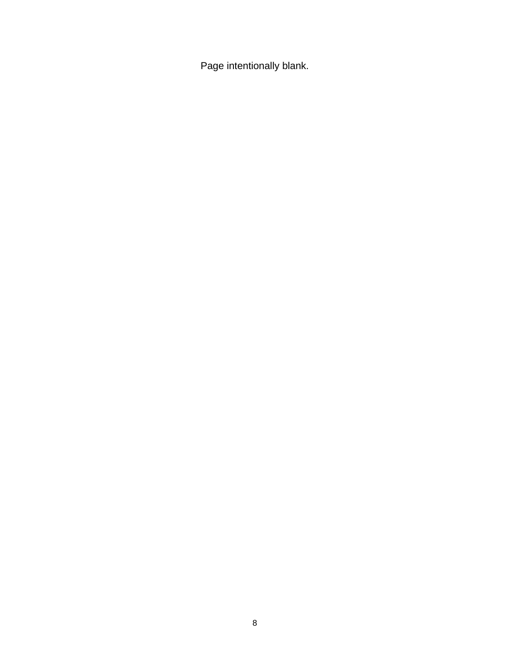Page intentionally blank.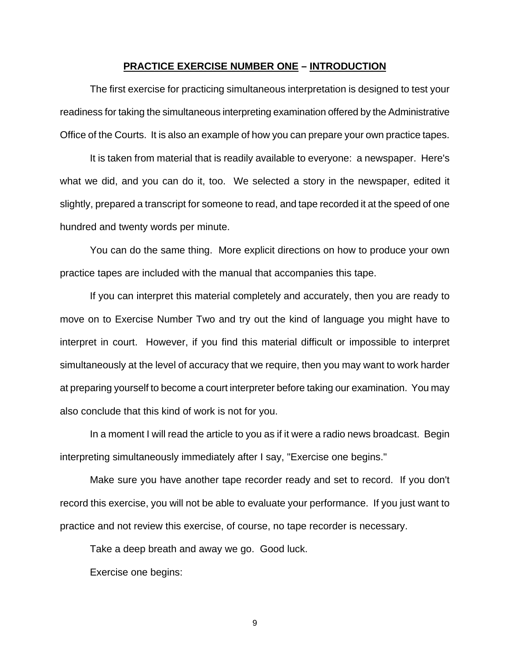#### **PRACTICE EXERCISE NUMBER ONE – INTRODUCTION**

The first exercise for practicing simultaneous interpretation is designed to test your readiness for taking the simultaneous interpreting examination offered by the Administrative Office of the Courts. It is also an example of how you can prepare your own practice tapes.

It is taken from material that is readily available to everyone: a newspaper. Here's what we did, and you can do it, too. We selected a story in the newspaper, edited it slightly, prepared a transcript for someone to read, and tape recorded it at the speed of one hundred and twenty words per minute.

You can do the same thing. More explicit directions on how to produce your own practice tapes are included with the manual that accompanies this tape.

If you can interpret this material completely and accurately, then you are ready to move on to Exercise Number Two and try out the kind of language you might have to interpret in court. However, if you find this material difficult or impossible to interpret simultaneously at the level of accuracy that we require, then you may want to work harder at preparing yourself to become a court interpreter before taking our examination. You may also conclude that this kind of work is not for you.

In a moment I will read the article to you as if it were a radio news broadcast. Begin interpreting simultaneously immediately after I say, "Exercise one begins."

Make sure you have another tape recorder ready and set to record. If you don't record this exercise, you will not be able to evaluate your performance. If you just want to practice and not review this exercise, of course, no tape recorder is necessary.

Take a deep breath and away we go. Good luck.

Exercise one begins: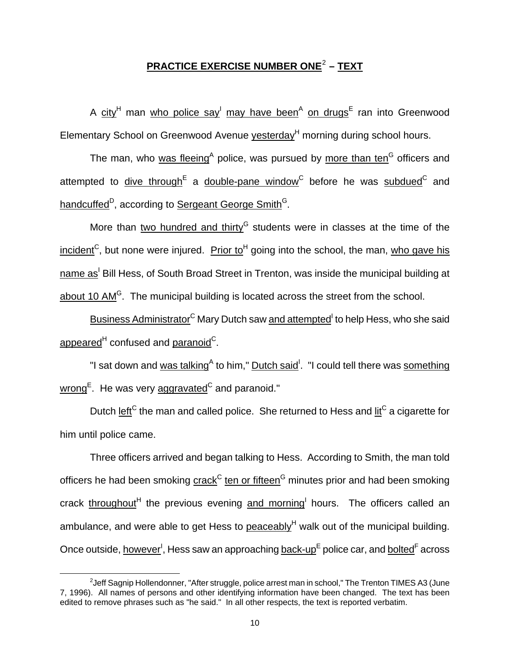#### **PRACTICE EXERCISE NUMBER ONE**[2](#page-10-0)  **– TEXT**

A city<sup>H</sup> man who police say<sup>I</sup> may have been<sup>A</sup> on drugs<sup>E</sup> ran into Greenwood Elementary School on Greenwood Avenue yesterday<sup>H</sup> morning during school hours.

The man, who was fleeing<sup>A</sup> police, was pursued by more than ten<sup>G</sup> officers and attempted to <u>dive through<sup>E</sup></u> a double-pane window<sup>C</sup> before he was subdued<sup>C</sup> and handcuffed<sup>D</sup>, according to Sergeant George Smith<sup>G</sup>.

More than two hundred and thirty<sup>G</sup> students were in classes at the time of the incident<sup>C</sup>, but none were injured. Prior to<sup>H</sup> going into the school, the man, who gave his name as<sup>I</sup> Bill Hess, of South Broad Street in Trenton, was inside the municipal building at about 10 AM<sup>G</sup>. The municipal building is located across the street from the school.

Business Administrator<sup>C</sup> Mary Dutch saw <u>and attempted</u><sup>I</sup> to help Hess, who she said appeared<sup>H</sup> confused and paranoid<sup>C</sup>.

"I sat down and was talking<sup>A</sup> to him," Dutch said<sup>!</sup>. "I could tell there was something wrong<sup>E</sup>. He was very <u>aggravated<sup>C</sup> and paranoid."</u>

Dutch left<sup>C</sup> the man and called police. She returned to Hess and lit<sup>C</sup> a cigarette for him until police came.

Three officers arrived and began talking to Hess. According to Smith, the man told officers he had been smoking crack<sup>C</sup> ten or fifteen<sup>G</sup> minutes prior and had been smoking crack throughout<sup>H</sup> the previous evening and morning<sup>1</sup> hours. The officers called an ambulance, and were able to get Hess to  $peaceably<sup>H</sup>$  walk out of the municipal building. Once outside, <u>however</u><sup>!</sup>, Hess saw an approaching <u>back-upEnolice car, and boltedEncross</u>

<span id="page-10-0"></span><sup>&</sup>lt;sup>2</sup> Jeff Sagnip Hollendonner, "After struggle, police arrest man in school," The Trenton TIMES A3 (June 7, 1996). All names of persons and other identifying information have been changed. The text has been edited to remove phrases such as "he said." In all other respects, the text is reported verbatim.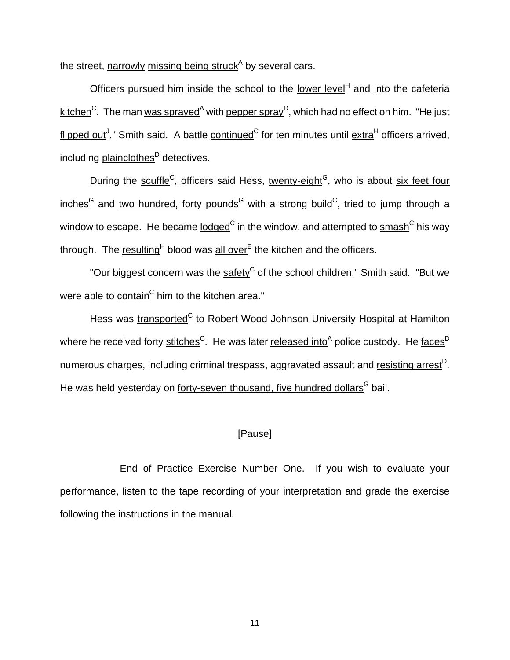the street, <u>narrowly missing being struck<sup>A</sup> by several cars.</u>

Officers pursued him inside the school to the lower level<sup>H</sup> and into the cafeteria <u>kitchen<sup>C</sup>. The man was sprayed<sup>A</sup> with pepper spray<sup>D</sup>, which had no effect on him. "He just</u> flipped out<sup>J</sup>," Smith said. A battle continued<sup>C</sup> for ten minutes until extra<sup>H</sup> officers arrived,  $including$  plainclothes $<sup>D</sup>$  detectives.</sup>

During the scuffle<sup>C</sup>, officers said Hess, twenty-eight<sup>G</sup>, who is about six feet four inches<sup>G</sup> and two hundred, forty pounds<sup>G</sup> with a strong build<sup>C</sup>, tried to jump through a window to escape. He became lodged<sup>C</sup> in the window, and attempted to smash<sup>C</sup> his way through. The resulting<sup>H</sup> blood was all over<sup>E</sup> the kitchen and the officers.

"Our biggest concern was the safety<sup>C</sup> of the school children," Smith said. "But we were able to contain<sup>C</sup> him to the kitchen area."

Hess was transported<sup>C</sup> to Robert Wood Johnson University Hospital at Hamilton where he received forty <u>stitches</u><sup>C</sup>. He was later <u>released into<sup>A</sup> police custody</u>. He <u>faces<sup>D</sup></u> numerous charges, including criminal trespass, aggravated assault and resisting arrest<sup>D</sup>. He was held yesterday on forty-seven thousand, five hundred dollars<sup>G</sup> bail.

#### [Pause]

 End of Practice Exercise Number One. If you wish to evaluate your performance, listen to the tape recording of your interpretation and grade the exercise following the instructions in the manual.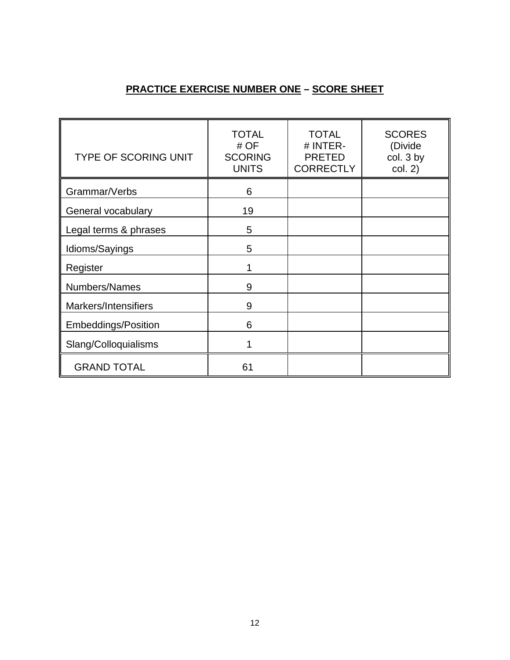# **PRACTICE EXERCISE NUMBER ONE – SCORE SHEET**

| <b>TYPE OF SCORING UNIT</b> | <b>TOTAL</b><br># OF<br><b>SCORING</b><br><b>UNITS</b> | <b>TOTAL</b><br># INTER-<br><b>PRETED</b><br><b>CORRECTLY</b> | <b>SCORES</b><br>(Divide<br>col. 3 by<br>col. 2) |
|-----------------------------|--------------------------------------------------------|---------------------------------------------------------------|--------------------------------------------------|
| Grammar/Verbs               | 6                                                      |                                                               |                                                  |
| General vocabulary          | 19                                                     |                                                               |                                                  |
| Legal terms & phrases       | 5                                                      |                                                               |                                                  |
| Idioms/Sayings              | 5                                                      |                                                               |                                                  |
| Register                    | 1                                                      |                                                               |                                                  |
| Numbers/Names               | 9                                                      |                                                               |                                                  |
| Markers/Intensifiers        | 9                                                      |                                                               |                                                  |
| <b>Embeddings/Position</b>  | 6                                                      |                                                               |                                                  |
| Slang/Colloquialisms        |                                                        |                                                               |                                                  |
| <b>GRAND TOTAL</b>          | 61                                                     |                                                               |                                                  |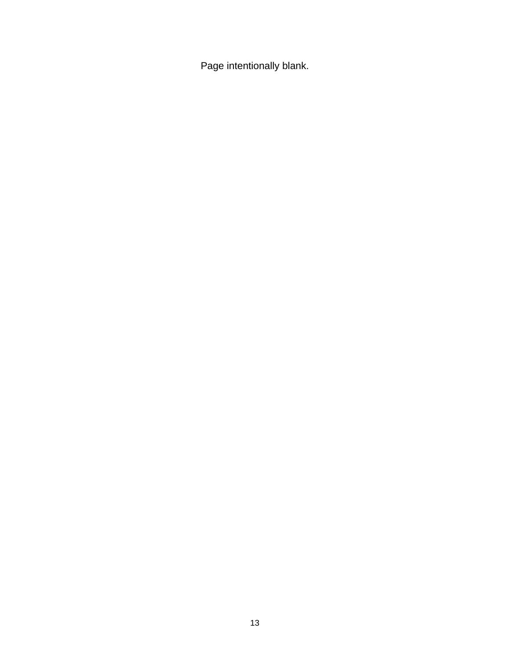Page intentionally blank.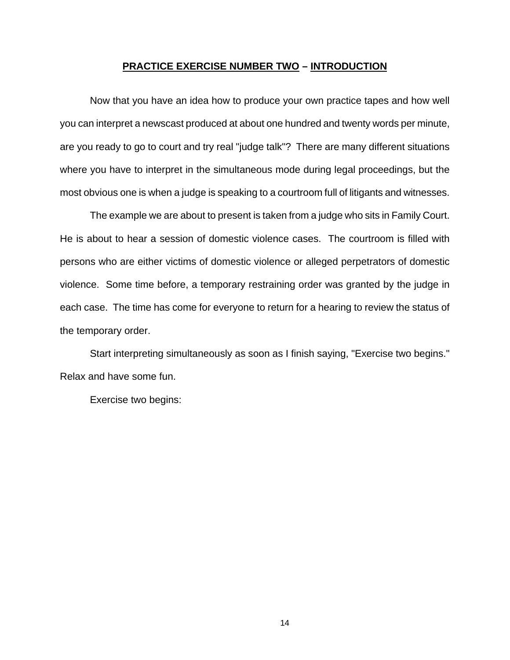#### **PRACTICE EXERCISE NUMBER TWO – INTRODUCTION**

Now that you have an idea how to produce your own practice tapes and how well you can interpret a newscast produced at about one hundred and twenty words per minute, are you ready to go to court and try real "judge talk"? There are many different situations where you have to interpret in the simultaneous mode during legal proceedings, but the most obvious one is when a judge is speaking to a courtroom full of litigants and witnesses.

The example we are about to present is taken from a judge who sits in Family Court. He is about to hear a session of domestic violence cases. The courtroom is filled with persons who are either victims of domestic violence or alleged perpetrators of domestic violence. Some time before, a temporary restraining order was granted by the judge in each case. The time has come for everyone to return for a hearing to review the status of the temporary order.

Start interpreting simultaneously as soon as I finish saying, "Exercise two begins." Relax and have some fun.

Exercise two begins: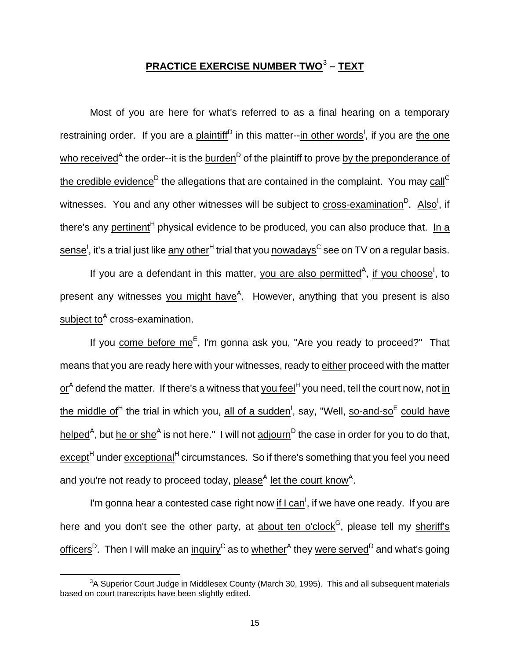#### **PRACTICE EXERCISE NUMBER TWO**[3](#page-15-0)  **– TEXT**

Most of you are here for what's referred to as a final hearing on a temporary restraining order. If you are a plaintiff<sup>D</sup> in this matter--in other words<sup>I</sup>, if you are the one who received<sup>A</sup> the order--it is the burden<sup>D</sup> of the plaintiff to prove by the preponderance of the credible evidence<sup>D</sup> the allegations that are contained in the complaint. You may call<sup>C</sup> witnesses. You and any other witnesses will be subject to **cross-examination<sup>D</sup>.** Also<sup>l</sup>, if there's any pertinent<sup>H</sup> physical evidence to be produced, you can also produce that. In a <u>sense<sup>l</sup>,</u> it's a trial just like <u>any other<sup>H</sup> trial that you nowadays<sup>C</sup> see on TV on a regular basis.</u>

If you are a defendant in this matter, you are also permitted<sup>A</sup>, if you choose<sup>1</sup>, to present any witnesses you might have<sup>A</sup>. However, anything that you present is also subject to<sup>A</sup> cross-examination.

If you come before me<sup>E</sup>, I'm gonna ask you, "Are you ready to proceed?" That means that you are ready here with your witnesses, ready to either proceed with the matter <u>or<sup>A</sup> defend the matter. If there's a witness that you feel<sup>H</sup> you need, tell the court now, not <u>in</u></u> the middle of<sup>H</sup> the trial in which you, <u>all of a sudden</u><sup>'</sup>, say, "Well, <u>so-and-so<sup>E</sup> could have</u> helped<sup>A</sup>, but <u>he or she<sup>A</sup> is not here."</u> I will not <u>adjourn<sup>D</sup> the case in order for you to do that,</u>  $except<sup>H</sup>$  under exceptional<sup>H</sup> circumstances. So if there's something that you feel you need and you're not ready to proceed today, <u>please<sup>A</sup> let the court know</u><sup>A</sup>.

I'm gonna hear a contested case right now if  $I$  can<sup>1</sup>, if we have one ready. If you are here and you don't see the other party, at about ten o'clock $<sup>G</sup>$ , please tell my sheriff's</sup> <u>officers<sup>D</sup>.</u> Then I will make an <u>inquiry<sup>C</sup> as to whether<sup>A</sup> they were served<sup>D</sup> and what's going</u>

 $\overline{a}$ 

<span id="page-15-0"></span><sup>3</sup>  $3A$  Superior Court Judge in Middlesex County (March 30, 1995). This and all subsequent materials based on court transcripts have been slightly edited.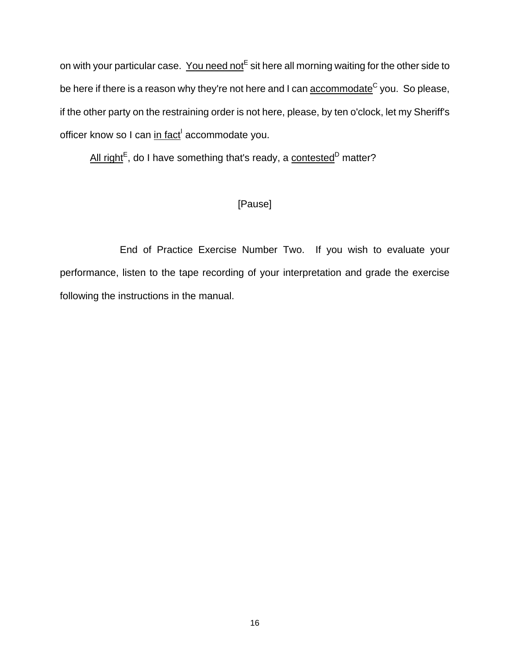on with your particular case. You need not<sup>E</sup> sit here all morning waiting for the other side to be here if there is a reason why they're not here and I can **accommodate<sup>C</sup> you.** So please, if the other party on the restraining order is not here, please, by ten o'clock, let my Sheriff's officer know so I can in fact<sup>i</sup> accommodate you.

All right<sup>E</sup>, do I have something that's ready, a <u>contested<sup>D</sup> matter</u>?

# [Pause]

 End of Practice Exercise Number Two. If you wish to evaluate your performance, listen to the tape recording of your interpretation and grade the exercise following the instructions in the manual.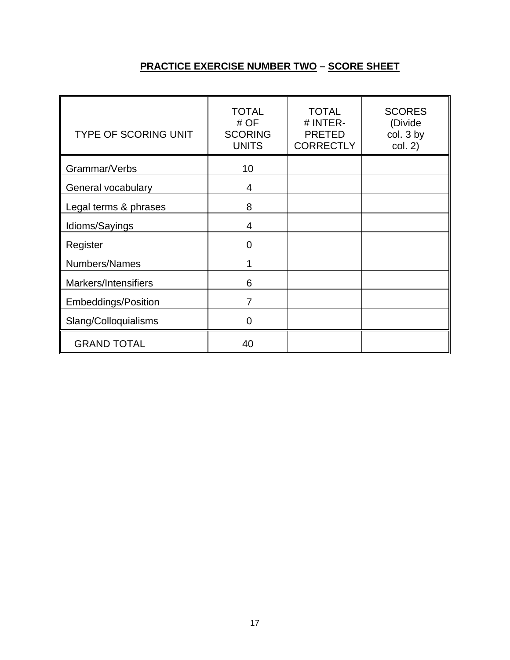# **PRACTICE EXERCISE NUMBER TWO – SCORE SHEET**

| <b>TYPE OF SCORING UNIT</b> | <b>TOTAL</b><br># OF<br><b>SCORING</b><br><b>UNITS</b> | <b>TOTAL</b><br># INTER-<br><b>PRETED</b><br><b>CORRECTLY</b> | <b>SCORES</b><br>(Divide<br>col. 3 by<br>col. 2) |
|-----------------------------|--------------------------------------------------------|---------------------------------------------------------------|--------------------------------------------------|
| Grammar/Verbs               | 10                                                     |                                                               |                                                  |
| General vocabulary          | 4                                                      |                                                               |                                                  |
| Legal terms & phrases       | 8                                                      |                                                               |                                                  |
| Idioms/Sayings              | 4                                                      |                                                               |                                                  |
| Register                    | $\overline{0}$                                         |                                                               |                                                  |
| Numbers/Names               | 1                                                      |                                                               |                                                  |
| Markers/Intensifiers        | 6                                                      |                                                               |                                                  |
| <b>Embeddings/Position</b>  | 7                                                      |                                                               |                                                  |
| Slang/Colloquialisms        | 0                                                      |                                                               |                                                  |
| <b>GRAND TOTAL</b>          | 40                                                     |                                                               |                                                  |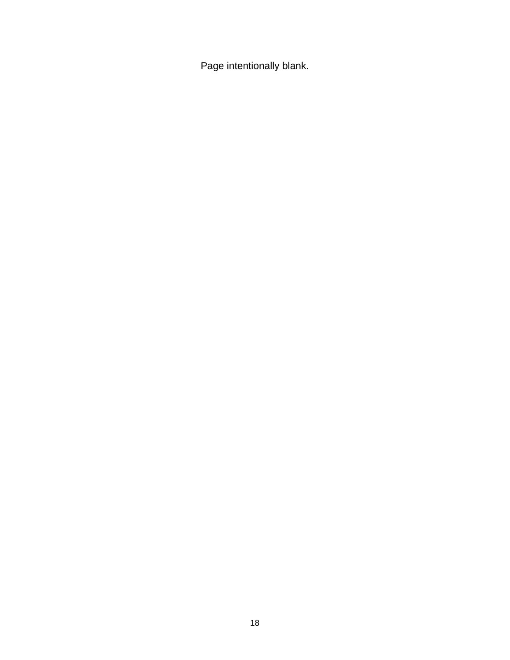Page intentionally blank.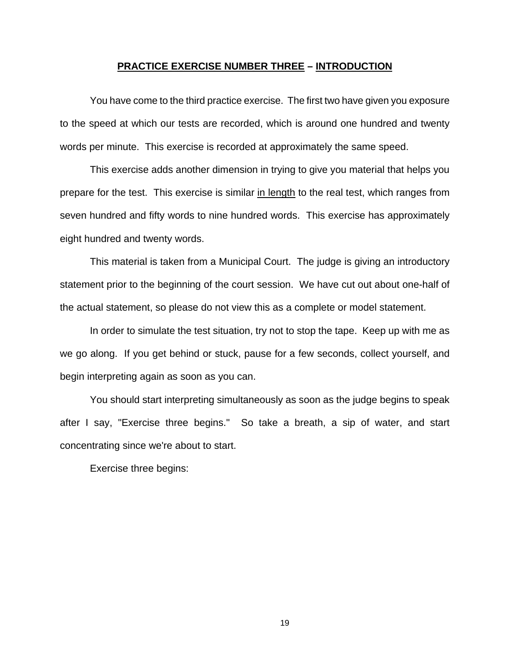#### **PRACTICE EXERCISE NUMBER THREE – INTRODUCTION**

You have come to the third practice exercise. The first two have given you exposure to the speed at which our tests are recorded, which is around one hundred and twenty words per minute. This exercise is recorded at approximately the same speed.

This exercise adds another dimension in trying to give you material that helps you prepare for the test. This exercise is similar in length to the real test, which ranges from seven hundred and fifty words to nine hundred words. This exercise has approximately eight hundred and twenty words.

This material is taken from a Municipal Court. The judge is giving an introductory statement prior to the beginning of the court session. We have cut out about one-half of the actual statement, so please do not view this as a complete or model statement.

In order to simulate the test situation, try not to stop the tape. Keep up with me as we go along. If you get behind or stuck, pause for a few seconds, collect yourself, and begin interpreting again as soon as you can.

You should start interpreting simultaneously as soon as the judge begins to speak after I say, "Exercise three begins." So take a breath, a sip of water, and start concentrating since we're about to start.

Exercise three begins: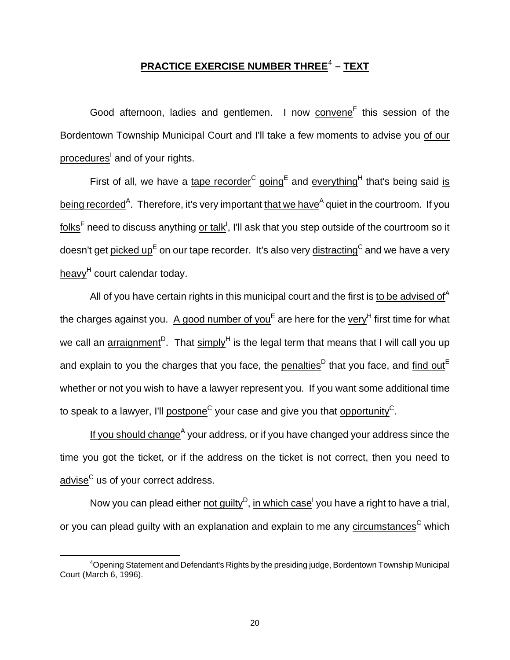#### **PRACTICE EXERCISE NUMBER THREE**[4](#page-20-0)  **– TEXT**

Good afternoon, ladies and gentlemen. I now **convene**<sup>F</sup> this session of the Bordentown Township Municipal Court and I'll take a few moments to advise you of our procedures<sup>1</sup> and of your rights.

First of all, we have a tape recorder<sup>C</sup> going<sup>E</sup> and everything<sup>H</sup> that's being said is being recorded<sup>A</sup>. Therefore, it's very important <u>that we have<sup>A</sup> quiet in the courtroom. If you</u> f<u>olks<sup>F</sup> need to discuss anything or talk<sup>I</sup>, I'll ask that you step outside of the courtroom so it</u> doesn't get <u>picked up<sup>E</sup> on our tape recorder.</u> It's also very <u>distracting<sup>C</sup> and we have a very</u> heavy<sup>H</sup> court calendar today.

All of you have certain rights in this municipal court and the first is to be advised of<sup>A</sup> the charges against you. A good number of you<sup>E</sup> are here for the very<sup>H</sup> first time for what we call an arraignment<sup>D</sup>. That simply<sup>H</sup> is the legal term that means that I will call you up and explain to you the charges that you face, the penalties<sup>D</sup> that you face, and find out<sup>E</sup> whether or not you wish to have a lawyer represent you. If you want some additional time to speak to a lawyer, I'll postpone<sup>C</sup> your case and give you that opportunity<sup>C</sup>.

If you should change<sup>A</sup> your address, or if you have changed your address since the time you got the ticket, or if the address on the ticket is not correct, then you need to advise<sup>C</sup> us of your correct address.

Now you can plead either <u>not guilty<sup>D</sup>, in which case<sup>l</sup> you have a right to have a trial,</u> or you can plead guilty with an explanation and explain to me any circumstances<sup>C</sup> which

 $\overline{a}$ 

<span id="page-20-0"></span><sup>4</sup> Opening Statement and Defendant's Rights by the presiding judge, Bordentown Township Municipal Court (March 6, 1996).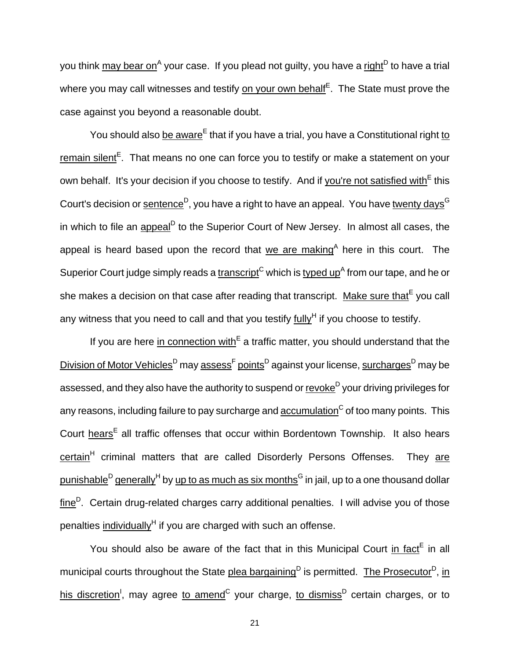you think <u>may bear on<sup>A</sup> your case.</u> If you plead not guilty, you have a <u>right<sup>D</sup> to have a trial</u> where you may call witnesses and testify <u>on your own behalf<sup>E</sup>.</u> The State must prove the case against you beyond a reasonable doubt.

You should also <u>be aware<sup>E</sup> that if you have a trial, you have a Constitutional right to</u> remain silent<sup>E</sup>. That means no one can force you to testify or make a statement on your own behalf. It's your decision if you choose to testify. And if you're not satisfied with<sup>E</sup> this Court's decision or sentence<sup>D</sup>, you have a right to have an appeal. You have twenty days<sup>G</sup> in which to file an appeal<sup>D</sup> to the Superior Court of New Jersey. In almost all cases, the appeal is heard based upon the record that we are making<sup>A</sup> here in this court. The Superior Court judge simply reads a transcript<sup>C</sup> which is typed up<sup>A</sup> from our tape, and he or she makes a decision on that case after reading that transcript. Make sure that<sup>E</sup> you call any witness that you need to call and that you testify fully<sup>H</sup> if you choose to testify.

If you are here in connection with<sup>E</sup> a traffic matter, you should understand that the Division of Motor Vehicles<sup>D</sup> may assess<sup>F</sup> points<sup>D</sup> against your license, surcharges<sup>D</sup> may be assessed, and they also have the authority to suspend or revoke<sup>D</sup> your driving privileges for any reasons, including failure to pay surcharge and accumulation<sup>C</sup> of too many points. This Court hears<sup>E</sup> all traffic offenses that occur within Bordentown Township. It also hears certain<sup>H</sup> criminal matters that are called Disorderly Persons Offenses. They are punishable<sup>D</sup> generally<sup>H</sup> by up to as much as six months<sup>G</sup> in jail, up to a one thousand dollar fine<sup>D</sup>. Certain drug-related charges carry additional penalties. I will advise you of those penalties individually<sup>H</sup> if you are charged with such an offense.

You should also be aware of the fact that in this Municipal Court in fact<sup>E</sup> in all municipal courts throughout the State plea bargaining<sup>D</sup> is permitted. The Prosecutor<sup>D</sup>, in his discretion<sup>!</sup>, may agree <u>to amend</u><sup>C</sup> your charge, <u>to dismiss</u><sup>D</sup> certain charges, or to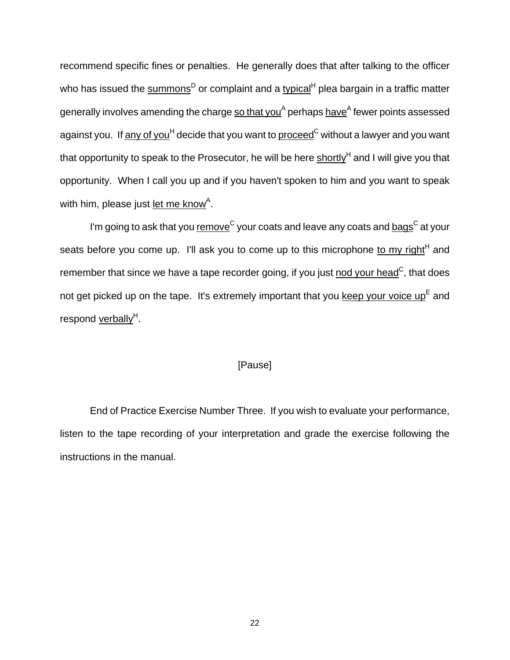recommend specific fines or penalties. He generally does that after talking to the officer who has issued the summons<sup>D</sup> or complaint and a typical<sup>H</sup> plea bargain in a traffic matter generally involves amending the charge <u>so that you<sup>A</sup> perhaps have<sup>A</sup> fewer points assessed</u> against you. If any of you<sup>H</sup> decide that you want to proceed<sup>C</sup> without a lawyer and you want that opportunity to speak to the Prosecutor, he will be here shortly<sup>H</sup> and I will give you that opportunity. When I call you up and if you haven't spoken to him and you want to speak with him, please just <u>let me know</u><sup>A</sup>.

I'm going to ask that you remove<sup>C</sup> your coats and leave any coats and bags<sup>C</sup> at your seats before you come up. I'll ask you to come up to this microphone to my right<sup>H</sup> and remember that since we have a tape recorder going, if you just nod your head<sup>C</sup>, that does not get picked up on the tape. It's extremely important that you keep your voice upE and respond verbally<sup>H</sup>.

#### [Pause]

End of Practice Exercise Number Three. If you wish to evaluate your performance, listen to the tape recording of your interpretation and grade the exercise following the instructions in the manual.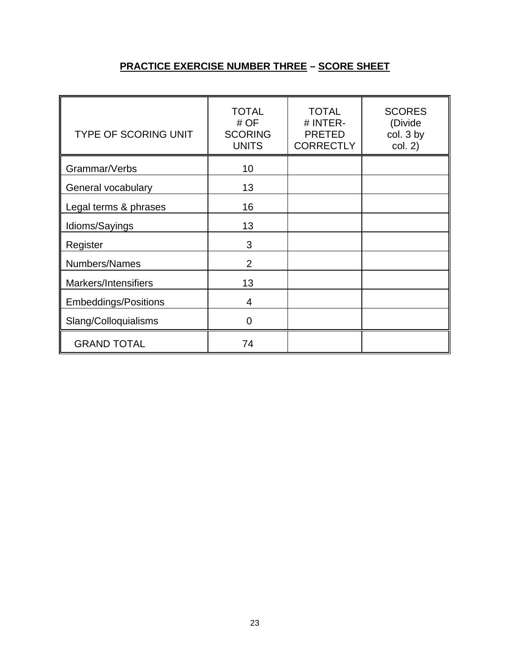# **PRACTICE EXERCISE NUMBER THREE – SCORE SHEET**

| <b>TYPE OF SCORING UNIT</b> | <b>TOTAL</b><br># OF<br><b>SCORING</b><br><b>UNITS</b> | <b>TOTAL</b><br># INTER-<br><b>PRETED</b><br><b>CORRECTLY</b> | <b>SCORES</b><br>(Divide<br>col. 3 by<br>col. 2) |
|-----------------------------|--------------------------------------------------------|---------------------------------------------------------------|--------------------------------------------------|
| Grammar/Verbs               | 10                                                     |                                                               |                                                  |
| General vocabulary          | 13                                                     |                                                               |                                                  |
| Legal terms & phrases       | 16                                                     |                                                               |                                                  |
| Idioms/Sayings              | 13                                                     |                                                               |                                                  |
| Register                    | 3                                                      |                                                               |                                                  |
| Numbers/Names               | $\overline{2}$                                         |                                                               |                                                  |
| Markers/Intensifiers        | 13                                                     |                                                               |                                                  |
| <b>Embeddings/Positions</b> | 4                                                      |                                                               |                                                  |
| Slang/Colloquialisms        | 0                                                      |                                                               |                                                  |
| <b>GRAND TOTAL</b>          | 74                                                     |                                                               |                                                  |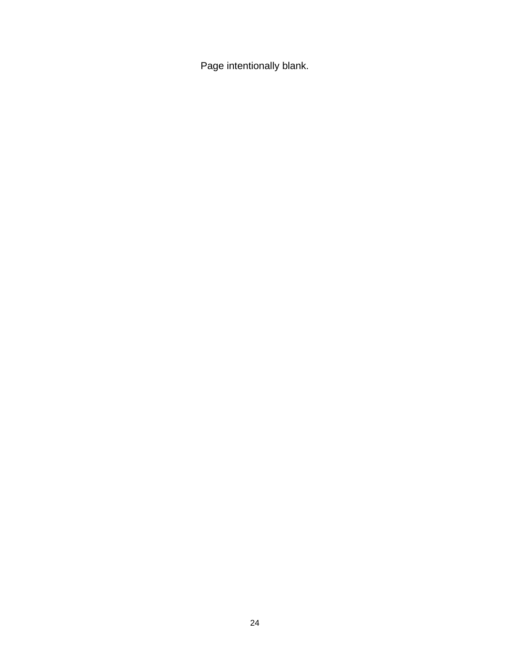Page intentionally blank.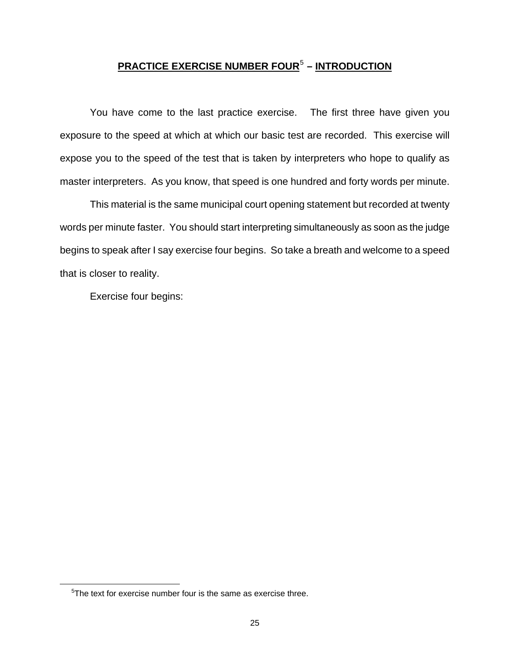#### **PRACTICE EXERCISE NUMBER FOUR**[5](#page-25-0)  **– INTRODUCTION**

 You have come to the last practice exercise. The first three have given you exposure to the speed at which at which our basic test are recorded. This exercise will expose you to the speed of the test that is taken by interpreters who hope to qualify as master interpreters. As you know, that speed is one hundred and forty words per minute.

 This material is the same municipal court opening statement but recorded at twenty words per minute faster. You should start interpreting simultaneously as soon as the judge begins to speak after I say exercise four begins. So take a breath and welcome to a speed that is closer to reality.

Exercise four begins:

 $\overline{a}$ 

<span id="page-25-0"></span><sup>&</sup>lt;sup>5</sup>The text for exercise number four is the same as exercise three.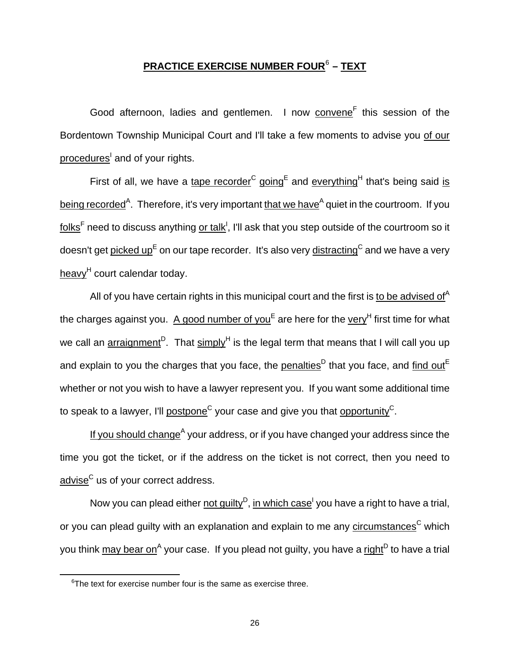#### **PRACTICE EXERCISE NUMBER FOUR**[6](#page-26-0)  **– TEXT**

Good afternoon, ladies and gentlemen. I now **convene**<sup>F</sup> this session of the Bordentown Township Municipal Court and I'll take a few moments to advise you of our procedures<sup>1</sup> and of your rights.

First of all, we have a tape recorder<sup>C</sup> going<sup>E</sup> and everything<sup>H</sup> that's being said is being recorded<sup>A</sup>. Therefore, it's very important <u>that we have<sup>A</sup> quiet in the courtroom. If you</u> f<u>olks<sup>F</sup> need to discuss anything or talk<sup>I</sup>, I'll ask that you step outside of the courtroom so it</u> doesn't get <u>picked up<sup>E</sup> on our tape recorder.</u> It's also very <u>distracting<sup>C</sup> and we have a very</u> heavy<sup>H</sup> court calendar today.

All of you have certain rights in this municipal court and the first is to be advised of  $A$ the charges against you. A good number of you<sup>E</sup> are here for the very<sup>H</sup> first time for what we call an arraignment<sup>D</sup>. That simply<sup>H</sup> is the legal term that means that I will call you up and explain to you the charges that you face, the penalties<sup>D</sup> that you face, and find out<sup>E</sup> whether or not you wish to have a lawyer represent you. If you want some additional time to speak to a lawyer, I'll postpone<sup>C</sup> your case and give you that opportunity<sup>C</sup>.

If you should change<sup>A</sup> your address, or if you have changed your address since the time you got the ticket, or if the address on the ticket is not correct, then you need to advise<sup>C</sup> us of your correct address.

Now you can plead either <u>not guilty<sup>D</sup>, in which case<sup>l</sup> you have a right to have a trial,</u> or you can plead guilty with an explanation and explain to me any circumstances<sup>C</sup> which you think <u>may bear on<sup>A</sup> your case.</u> If you plead not guilty, you have a <u>right<sup>D</sup> to have a trial</u>

 $\overline{a}$ 

<span id="page-26-0"></span><sup>&</sup>lt;sup>6</sup>The text for exercise number four is the same as exercise three.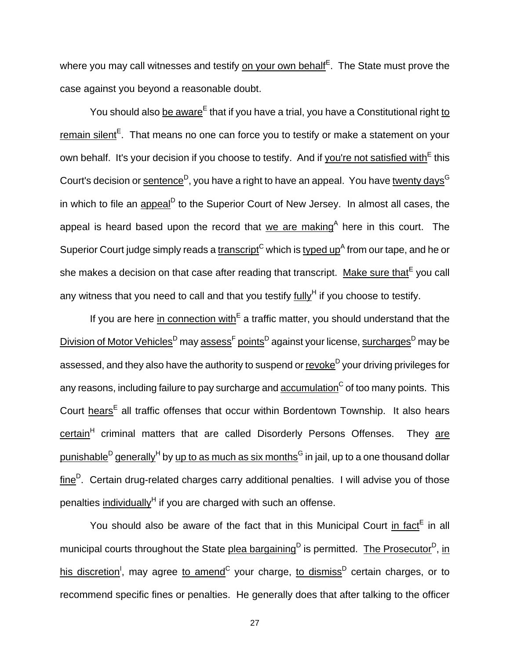where you may call witnesses and testify <u>on your own behalf<sup>E</sup>.</u> The State must prove the case against you beyond a reasonable doubt.

You should also <u>be aware<sup>E</sup> that if you have a trial, you have a Constitutional right to</u> remain silent<sup>E</sup>. That means no one can force you to testify or make a statement on your own behalf. It's your decision if you choose to testify. And if you're not satisfied with Ethis Court's decision or sentence<sup>D</sup>, you have a right to have an appeal. You have twenty days<sup>G</sup> in which to file an appeal<sup>D</sup> to the Superior Court of New Jersey. In almost all cases, the appeal is heard based upon the record that  $we$  are making<sup>A</sup> here in this court. The</u> Superior Court judge simply reads a transcript<sup>C</sup> which is typed up<sup>A</sup> from our tape, and he or she makes a decision on that case after reading that transcript. Make sure that<sup>E</sup> you call any witness that you need to call and that you testify fully<sup>H</sup> if you choose to testify.

If you are here in connection with<sup>E</sup> a traffic matter, you should understand that the Division of Motor Vehicles<sup>D</sup> may assess<sup>F</sup> points<sup>D</sup> against your license, surcharges<sup>D</sup> may be assessed, and they also have the authority to suspend or revoke<sup>D</sup> your driving privileges for any reasons, including failure to pay surcharge and accumulation<sup>C</sup> of too many points. This Court hears<sup>E</sup> all traffic offenses that occur within Bordentown Township. It also hears  $certain<sup>H</sup>$  criminal matters that are called Disorderly Persons Offenses. They are punishable<sup>D</sup> generally<sup>H</sup> by up to as much as six months<sup>G</sup> in jail, up to a one thousand dollar fine<sup>D</sup>. Certain drug-related charges carry additional penalties. I will advise you of those penalties individually<sup>H</sup> if you are charged with such an offense.

You should also be aware of the fact that in this Municipal Court in fact<sup>E</sup> in all municipal courts throughout the State plea bargaining<sup>D</sup> is permitted. The Prosecutor<sup>D</sup>, in his discretion<sup>!</sup>, may agree <u>to amend</u><sup>C</sup> your charge, <u>to dismiss<sup>D</sup> certain charges,</u> or to recommend specific fines or penalties. He generally does that after talking to the officer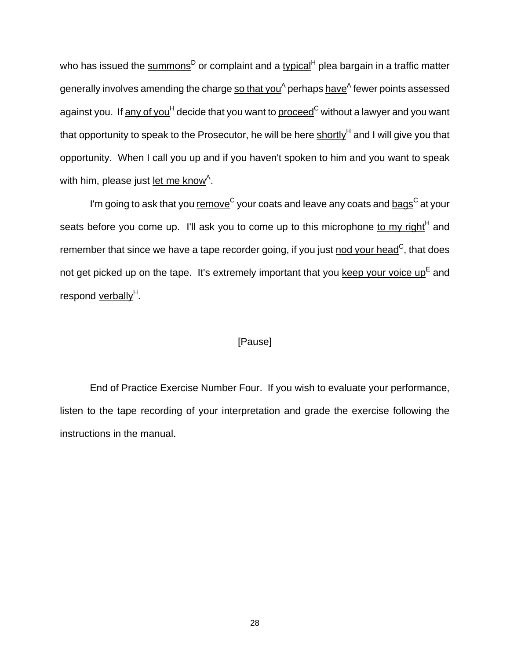who has issued the summons<sup>D</sup> or complaint and a typical<sup>H</sup> plea bargain in a traffic matter generally involves amending the charge <u>so that you<sup>A</sup> perhaps have<sup>A</sup> fewer points assessed</u> against you. If any of you<sup>H</sup> decide that you want to proceed<sup>C</sup> without a lawyer and you want that opportunity to speak to the Prosecutor, he will be here shortly $^H$  and I will give you that opportunity. When I call you up and if you haven't spoken to him and you want to speak with him, please just <u>let me know</u><sup>A</sup>.

I'm going to ask that you remove<sup>C</sup> your coats and leave any coats and bags<sup>C</sup> at your seats before you come up. I'll ask you to come up to this microphone to my right<sup>H</sup> and remember that since we have a tape recorder going, if you just nod your head<sup>C</sup>, that does not get picked up on the tape. It's extremely important that you keep your voice upE and respond verbally<sup>H</sup>.

#### [Pause]

End of Practice Exercise Number Four. If you wish to evaluate your performance, listen to the tape recording of your interpretation and grade the exercise following the instructions in the manual.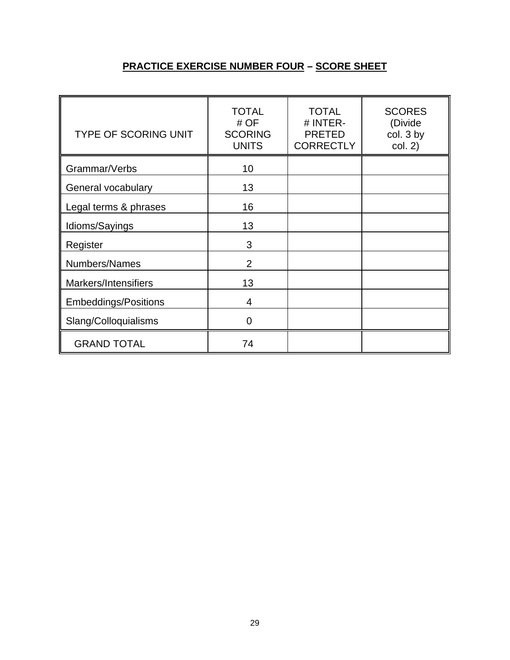# **PRACTICE EXERCISE NUMBER FOUR – SCORE SHEET**

| <b>TYPE OF SCORING UNIT</b> | <b>TOTAL</b><br>#OF<br><b>SCORING</b><br><b>UNITS</b> | <b>TOTAL</b><br># INTER-<br><b>PRETED</b><br><b>CORRECTLY</b> | <b>SCORES</b><br>(Divide<br>col. 3 by<br>col. 2) |
|-----------------------------|-------------------------------------------------------|---------------------------------------------------------------|--------------------------------------------------|
| Grammar/Verbs               | 10                                                    |                                                               |                                                  |
| General vocabulary          | 13                                                    |                                                               |                                                  |
| Legal terms & phrases       | 16                                                    |                                                               |                                                  |
| Idioms/Sayings              | 13                                                    |                                                               |                                                  |
| Register                    | 3                                                     |                                                               |                                                  |
| Numbers/Names               | $\overline{2}$                                        |                                                               |                                                  |
| Markers/Intensifiers        | 13                                                    |                                                               |                                                  |
| <b>Embeddings/Positions</b> | 4                                                     |                                                               |                                                  |
| Slang/Colloquialisms        | 0                                                     |                                                               |                                                  |
| <b>GRAND TOTAL</b>          | 74                                                    |                                                               |                                                  |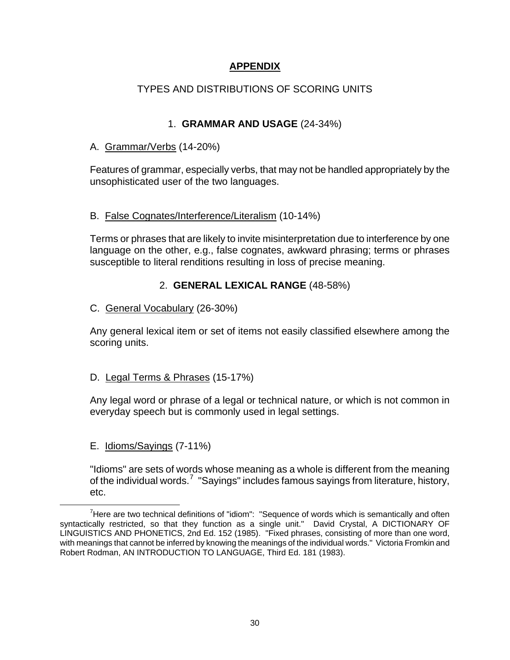## **APPENDIX**

## TYPES AND DISTRIBUTIONS OF SCORING UNITS

## 1. **GRAMMAR AND USAGE** (24-34%)

#### A. Grammar/Verbs (14-20%)

Features of grammar, especially verbs, that may not be handled appropriately by the unsophisticated user of the two languages.

#### B. False Cognates/Interference/Literalism (10-14%)

Terms or phrases that are likely to invite misinterpretation due to interference by one language on the other, e.g., false cognates, awkward phrasing; terms or phrases susceptible to literal renditions resulting in loss of precise meaning.

## 2. **GENERAL LEXICAL RANGE** (48-58%)

#### C. General Vocabulary (26-30%)

Any general lexical item or set of items not easily classified elsewhere among the scoring units.

## D. Legal Terms & Phrases (15-17%)

Any legal word or phrase of a legal or technical nature, or which is not common in everyday speech but is commonly used in legal settings.

E. Idioms/Sayings (7-11%)

 $\overline{a}$ 

"Idioms" are sets of words whose meaning as a whole is different from the meaning of the individual words.<sup>[7](#page-30-0)</sup> "Sayings" includes famous sayings from literature, history, etc.

<span id="page-30-0"></span><sup>&</sup>lt;sup>7</sup>Here are two technical definitions of "idiom": "Sequence of words which is semantically and often syntactically restricted, so that they function as a single unit." David Crystal, A DICTIONARY OF LINGUISTICS AND PHONETICS, 2nd Ed. 152 (1985). "Fixed phrases, consisting of more than one word, with meanings that cannot be inferred by knowing the meanings of the individual words." Victoria Fromkin and Robert Rodman, AN INTRODUCTION TO LANGUAGE, Third Ed. 181 (1983).